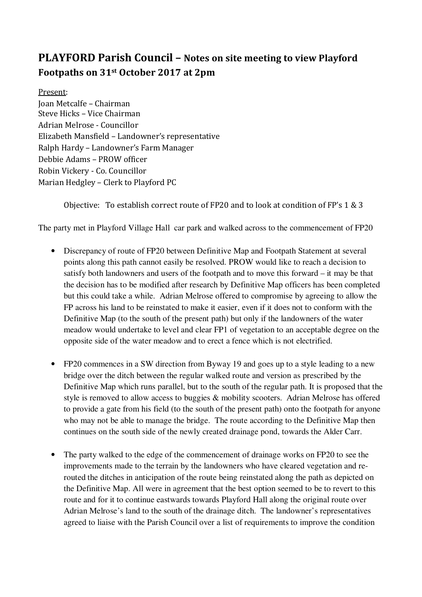## PLAYFORD Parish Council – Notes on site meeting to view Playford Footpaths on 31st October 2017 at 2pm

Present: Joan Metcalfe – Chairman Steve Hicks – Vice Chairman Adrian Melrose - Councillor Elizabeth Mansfield – Landowner's representative Ralph Hardy – Landowner's Farm Manager Debbie Adams – PROW officer Robin Vickery - Co. Councillor Marian Hedgley – Clerk to Playford PC

Objective: To establish correct route of FP20 and to look at condition of FP's 1 & 3

The party met in Playford Village Hall car park and walked across to the commencement of FP20

- Discrepancy of route of FP20 between Definitive Map and Footpath Statement at several points along this path cannot easily be resolved. PROW would like to reach a decision to satisfy both landowners and users of the footpath and to move this forward – it may be that the decision has to be modified after research by Definitive Map officers has been completed but this could take a while. Adrian Melrose offered to compromise by agreeing to allow the FP across his land to be reinstated to make it easier, even if it does not to conform with the Definitive Map (to the south of the present path) but only if the landowners of the water meadow would undertake to level and clear FP1 of vegetation to an acceptable degree on the opposite side of the water meadow and to erect a fence which is not electrified.
- FP20 commences in a SW direction from Byway 19 and goes up to a style leading to a new bridge over the ditch between the regular walked route and version as prescribed by the Definitive Map which runs parallel, but to the south of the regular path. It is proposed that the style is removed to allow access to buggies & mobility scooters. Adrian Melrose has offered to provide a gate from his field (to the south of the present path) onto the footpath for anyone who may not be able to manage the bridge. The route according to the Definitive Map then continues on the south side of the newly created drainage pond, towards the Alder Carr.
- The party walked to the edge of the commencement of drainage works on FP20 to see the improvements made to the terrain by the landowners who have cleared vegetation and rerouted the ditches in anticipation of the route being reinstated along the path as depicted on the Definitive Map. All were in agreement that the best option seemed to be to revert to this route and for it to continue eastwards towards Playford Hall along the original route over Adrian Melrose's land to the south of the drainage ditch. The landowner's representatives agreed to liaise with the Parish Council over a list of requirements to improve the condition